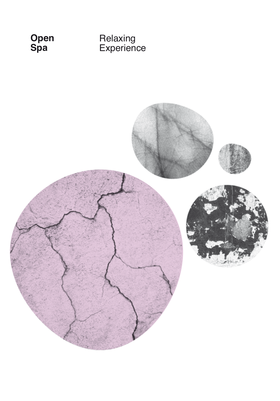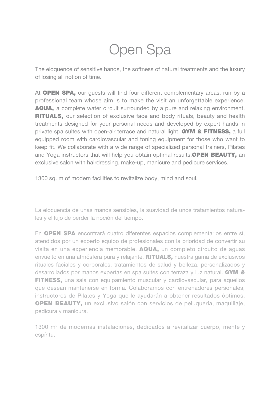# Open Spa

The eloquence of sensitive hands, the softness of natural treatments and the luxury of losing all notion of time.

At **OPEN SPA,** our quests will find four different complementary areas, run by a professional team whose aim is to make the visit an unforgettable experience. AQUA, a complete water circuit surrounded by a pure and relaxing environment. RITUALS, our selection of exclusive face and body rituals, beauty and health treatments designed for your personal needs and developed by expert hands in private spa suites with open-air terrace and natural light. GYM & FITNESS, a full equipped room with cardiovascular and toning equipment for those who want to keep fit. We collaborate with a wide range of specialized personal trainers, Pilates and Yoga instructors that will help you obtain optimal results.OPEN BEAUTY, an exclusive salon with hairdressing, make-up, manicure and pedicure services.

1300 sq. m of modern facilities to revitalize body, mind and soul.

La elocuencia de unas manos sensibles, la suavidad de unos tratamientos naturales y el lujo de perder la noción del tiempo.

En OPEN SPA encontrará cuatro diferentes espacios complementarios entre sí, atendidos por un experto equipo de profesionales con la prioridad de convertir su visita en una experiencia memorable. AQUA, un completo circuito de aguas envuelto en una atmósfera pura y relajante. **RITUALS**, nuestra gama de exclusivos rituales faciales y corporales, tratamientos de salud y belleza, personalizados y desarrollados por manos expertas en spa suites con terraza y luz natural. **GYM & FITNESS**, una sala con equipamiento muscular y cardiovascular, para aquellos que desean mantenerse en forma. Colaboramos con entrenadores personales, instructores de Pilates y Yoga que le ayudarán a obtener resultados óptimos. OPEN BEAUTY, un exclusivo salón con servicios de peluquería, maquillaje, pedicura y manicura.

1300 m<sup>2</sup> de modernas instalaciones, dedicados a revitalizar cuerpo, mente y espíritu.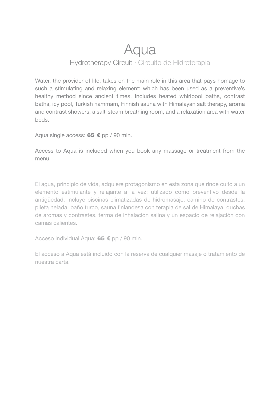## Aqua

## Hydrotherapy Circuit · Circuito de Hidroterapia

Water, the provider of life, takes on the main role in this area that pays homage to such a stimulating and relaxing element; which has been used as a preventive's healthy method since ancient times. Includes heated whirlpool baths, contrast baths, icy pool, Turkish hammam, Finnish sauna with Himalayan salt therapy, aroma and contrast showers, a salt-steam breathing room, and a relaxation area with water beds.

Aqua single access:  $65 \text{ } \in$  pp / 90 min.

Access to Aqua is included when you book any massage or treatment from the menu.

El agua, principio de vida, adquiere protagonismo en esta zona que rinde culto a un elemento estimulante y relajante a la vez; utilizado como preventivo desde la antigüedad. Incluye piscinas climatizadas de hidromasaje, camino de contrastes, pileta helada, baño turco, sauna finlandesa con terapia de sal de Himalaya, duchas de aromas y contrastes, terma de inhalación salina y un espacio de relajación con camas calientes.

Acceso individual Aqua: 65 € pp / 90 min.

El acceso a Aqua está incluido con la reserva de cualquier masaje o tratamiento de nuestra carta.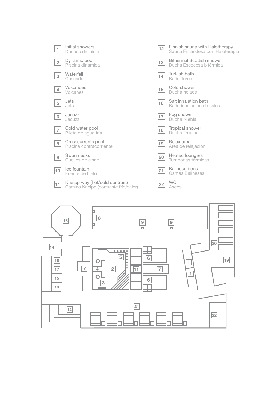

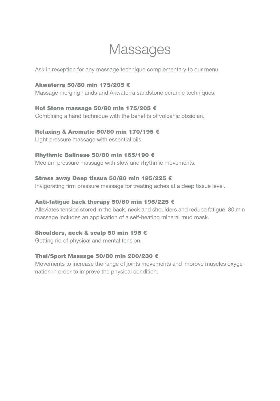## Massages

Ask in reception for any massage technique complementary to our menu.

#### Akwaterra 50/80 min 175/205 €

Massage merging hands and Akwaterra sandstone ceramic techniques.

#### Hot Stone massage 50/80 min 175/205 €

Combining a hand technique with the benefits of volcanic obsidian.

#### Relaxing & Aromatic 50/80 min 170/195 €

Light pressure massage with essential oils.

#### Rhythmic Balinese 50/80 min 165/190 €

Medium pressure massage with slow and rhythmic movements.

#### Stress away Deep tissue 50/80 min 195/225 €

Invigorating firm pressure massage for treating aches at a deep tissue level.

#### Anti-fatigue back therapy 50/80 min 195/225 €

Alleviates tension stored in the back, neck and shoulders and reduce fatigue. 80 min massage includes an application of a self-heating mineral mud mask.

#### Shoulders, neck & scalp 50 min 195 €

Getting rid of physical and mental tension.

## Thai/Sport Massage 50/80 min 200/230 €

Movements to increase the range of joints movements and improve muscles oxygenation in order to improve the physical condition.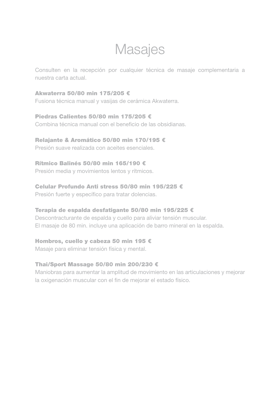## Masajes

Consulten en la recepción por cualquier técnica de masaje complementaria a nuestra carta actual.

Akwaterra 50/80 min 175/205 € Fusiona técnica manual y vasijas de cerámica Akwaterra.

Piedras Calientes 50/80 min 175/205 € Combina técnica manual con el beneficio de las obsidianas.

Relajante & Aromático 50/80 min 170/195 €

Presión suave realizada con aceites esenciales.

### Rítmico Balinés 50/80 min 165/190 €

Presión media y movimientos lentos y rítmicos.

## Celular Profundo Anti stress 50/80 min 195/225 €

Presión fuerte y específico para tratar dolencias.

#### Terapia de espalda desfatigante 50/80 min 195/225 €

Descontracturante de espalda y cuello para aliviar tensión muscular. El masaje de 80 min. incluye una aplicación de barro mineral en la espalda.

## Hombros, cuello y cabeza 50 min 195 €

Masaje para eliminar tensión física y mental.

## Thai/Sport Massage 50/80 min 200/230 €

Maniobras para aumentar la amplitud de movimiento en las articulaciones y mejorar la oxigenación muscular con el fin de mejorar el estado físico.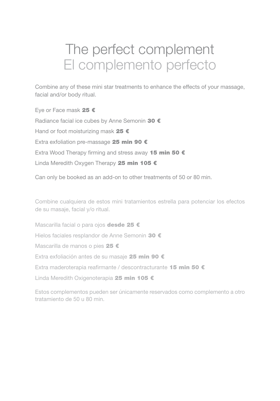## The perfect complement El complemento perfecto

Combine any of these mini star treatments to enhance the effects of your massage, facial and/or body ritual.

Eye or Face mask 25 € Radiance facial ice cubes by Anne Semonin 30 € Hand or foot moisturizing mask 25 € Extra exfoliation pre-massage 25 min 90 € Extra Wood Therapy firming and stress away 15 min 50  $\epsilon$ Linda Meredith Oxygen Therapy 25 min 105 €

Can only be booked as an add-on to other treatments of 50 or 80 min.

Combine cualquiera de estos mini tratamientos estrella para potenciar los efectos de su masaje, facial y/o ritual.

Mascarilla facial o para ojos desde 25 € Hielos faciales resplandor de Anne Semonin 30 € Mascarilla de manos o pies 25 € Extra exfoliación antes de su masaje 25 min 90 € Extra maderoterapia reafirmante / descontracturante 15 min 50 € Linda Meredith Oxigenoterapia 25 min 105 €

Estos complementos pueden ser únicamente reservados como complemento a otro tratamiento de 50 u 80 min.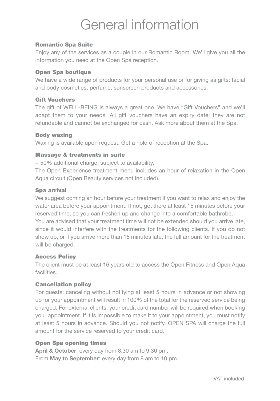# General information

#### Romantic Spa Suite

Enjoy any of the services as a couple in our Romantic Room. We'll give you all the information you need at the Open Spa reception.

#### Open Spa boutique

We have a wide range of products for your personal use or for giving as gifts: facial and body cosmetics, perfume, sunscreen products and accessories.

#### Gift Vouchers

The gift of WELL-BEING is always a great one. We have "Gift Vouchers" and we'll adapt them to your needs. All gift vouchers have an expiry date; they are not refundable and cannot be exchanged for cash. Ask more about them at the Spa.

#### Body waxing

Waxing is available upon request. Get a hold of reception at the Spa.

#### Massage & treatments in suite

+ 50% additional charge, subject to availability.

The Open Experience treatment menu includes an hour of relaxation in the Open Aqua circuit (Open Beauty services not included).

#### Spa arrival

We suggest coming an hour before your treatment if you want to relax and enjoy the water area before your appointment. If not, get there at least 15 minutes before your reserved time, so you can freshen up and change into a comfortable bathrobe. You are advised that your treatment time will not be extended should you arrive late, since it would interfere with the treatments for the following clients. If you do not show up, or if you arrive more than 15 minutes late, the full amount for the treatment will be charged.

#### Access Policy

The client must be at least 16 years old to access the Open Fitness and Open Aqua facilities.

#### Cancellation policy

For guests: canceling without notifying at least 5 hours in advance or not showing up for your appointment will result in 100% of the total for the reserved service being charged. For external clients: your credit card number will be required when booking your appointment. If it is impossible to make it to your appointment, you must notify at least 5 hours in advance. Should you not notify, OPEN SPA will charge the full amount for the service reserved to your credit card.

#### Open Spa opening times

April & October: every day from 8.30 am to 9.30 pm. From May to September: every day from 8 am to 10 pm.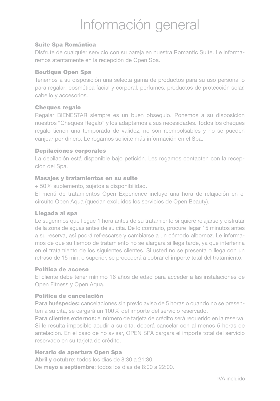# Información general

#### Suite Spa Romántica

Disfrute de cualquier servicio con su pareja en nuestra Romantic Suite. Le informaremos atentamente en la recepción de Open Spa.

#### Boutique Open Spa

Tenemos a su disposición una selecta gama de productos para su uso personal o para regalar: cosmética facial y corporal, perfumes, productos de protección solar, cabello y accesorios.

#### Cheques regalo

Regalar BIENESTAR siempre es un buen obsequio. Ponemos a su disposición nuestros "Cheques Regalo" y los adaptamos a sus necesidades. Todos los cheques regalo tienen una temporada de validez, no son reembolsables y no se pueden canjear por dinero. Le rogamos solicite más información en el Spa.

#### Depilaciones corporales

La depilación está disponible bajo petición. Les rogamos contacten con la recepción del Spa.

#### Masajes y tratamientos en su suite

+ 50% suplemento, sujetos a disponibilidad.

El menú de tratamientos Open Experience incluye una hora de relajación en el circuito Open Aqua (quedan excluidos los servicios de Open Beauty).

#### Llegada al spa

Le sugerimos que llegue 1 hora antes de su tratamiento si quiere relajarse y disfrutar de la zona de aguas antes de su cita. De lo contrario, procure llegar 15 minutos antes a su reserva, así podrá refrescarse y cambiarse a un cómodo albornoz. Le informamos de que su tiempo de tratamiento no se alargará si llega tarde, ya que interferiría en el tratamiento de los siguientes clientes. Si usted no se presenta o llega con un retraso de 15 min. o superior, se procederá a cobrar el importe total del tratamiento.

#### Política de acceso

El cliente debe tener mínimo 16 años de edad para acceder a las instalaciones de Open Fitness y Open Aqua.

#### Política de cancelación

Para huéspedes: cancelaciones sin previo aviso de 5 horas o cuando no se presenten a su cita, se cargará un 100% del importe del servicio reservado.

Para clientes externos: el número de tarieta de crédito será requerido en la reserva. Si le resulta imposible acudir a su cita, deberá cancelar con al menos 5 horas de antelación. En el caso de no avisar, OPEN SPA cargará el importe total del servicio reservado en su tarjeta de crédito.

#### Horario de apertura Open Spa

Abril y octubre: todos los días de 8:30 a 21:30. De mayo a septiembre: todos los días de 8:00 a 22:00.